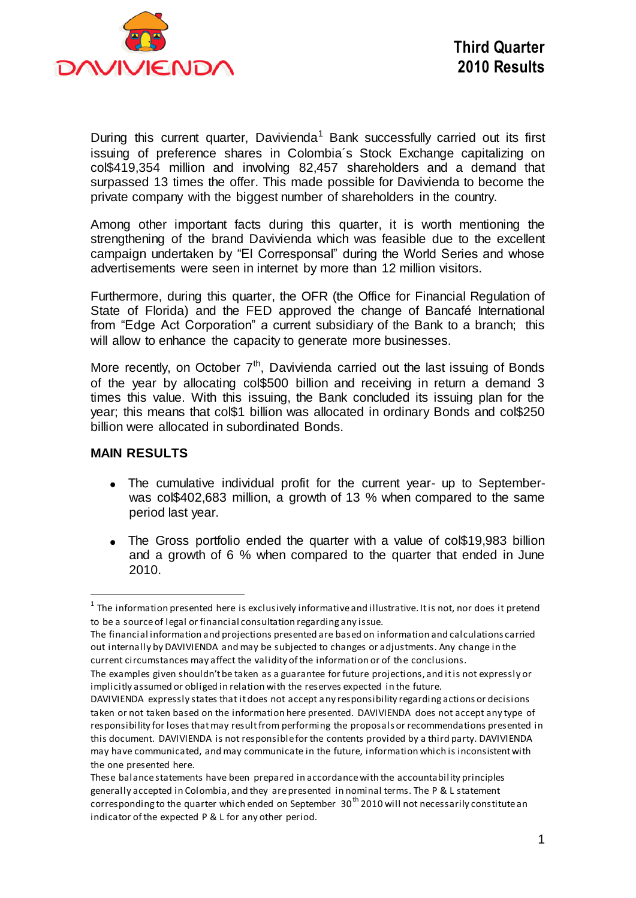

During this current quarter, Davivienda<sup>1</sup> Bank successfully carried out its first issuing of preference shares in Colombia´s Stock Exchange capitalizing on col\$419,354 million and involving 82,457 shareholders and a demand that surpassed 13 times the offer. This made possible for Davivienda to become the private company with the biggest number of shareholders in the country.

Among other important facts during this quarter, it is worth mentioning the strengthening of the brand Davivienda which was feasible due to the excellent campaign undertaken by "El Corresponsal" during the World Series and whose advertisements were seen in internet by more than 12 million visitors.

Furthermore, during this quarter, the OFR (the Office for Financial Regulation of State of Florida) and the FED approved the change of Bancafé International from "Edge Act Corporation" a current subsidiary of the Bank to a branch; this will allow to enhance the capacity to generate more businesses.

More recently, on October  $7<sup>th</sup>$ , Davivienda carried out the last issuing of Bonds of the year by allocating col\$500 billion and receiving in return a demand 3 times this value. With this issuing, the Bank concluded its issuing plan for the year; this means that col\$1 billion was allocated in ordinary Bonds and col\$250 billion were allocated in subordinated Bonds.

#### **MAIN RESULTS**

 $\overline{a}$ 

- The cumulative individual profit for the current year- up to Septemberwas col\$402,683 million, a growth of 13 % when compared to the same period last year.
- The Gross portfolio ended the quarter with a value of col\$19,983 billion and a growth of 6 % when compared to the quarter that ended in June 2010.

 $^{\text{1}}$  The information presented here is exclusively informative and illustrative. It is not, nor does it pretend to be a source of legal or financial consultation regarding any issue.

The financial information and projections presented are based on information and calculations carried out internally by DAVIVIENDA and may be subjected to changes or adjustments. Any change in the current circumstances may affect the validity of the information or of the conclusions.

The examples given shouldn't be taken as a guarantee for future projections, and it is not expressly or implicitly assumed or obliged in relation with the reserves expected in the future.

DAVIVIENDA expressly states that it does not accept any responsibility regarding actions or decisions taken or not taken based on the information here presented. DAVIVIENDA does not accept any type of responsibility for loses that may result from performing the proposals or recommendations presented in this document. DAVIVIENDA is not responsible for the contents provided by a third party. DAVIVIENDA may have communicated, and may communicate in the future, information which is inconsistent with the one presented here.

These balance statements have been prepared in accordance with the accountability principles generally accepted in Colombia, and they are presented in nominal terms. The P & L statement corresponding to the quarter which ended on September  $30<sup>th</sup>$  2010 will not necessarily constitute an indicator of the expected P & L for any other period.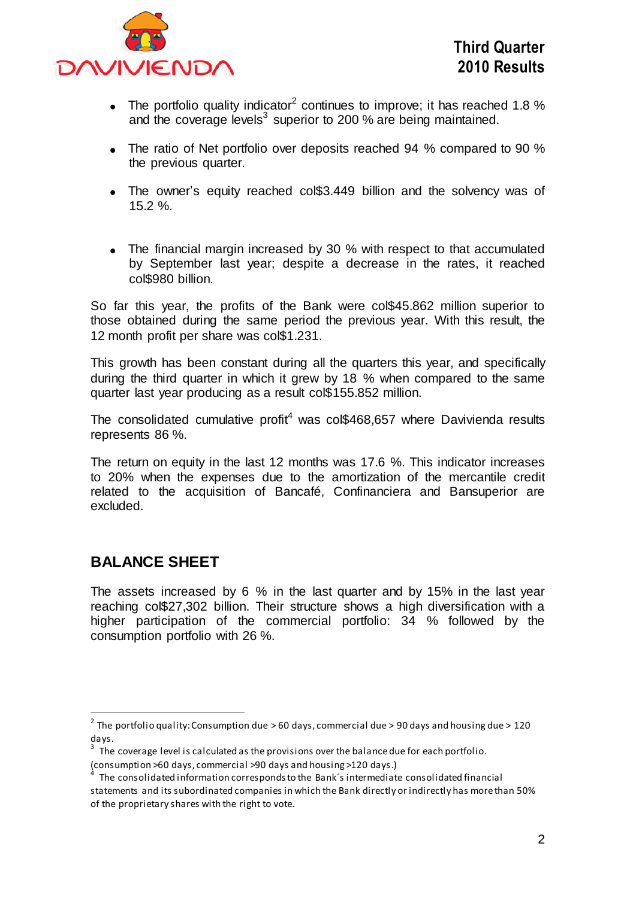

- The portfolio quality indicator<sup>2</sup> continues to improve; it has reached 1.8 % and the coverage levels<sup>3</sup> superior to 200 % are being maintained.
- The ratio of Net portfolio over deposits reached 94 % compared to 90 % the previous quarter.
- The owner's equity reached col\$3.449 billion and the solvency was of 15.2 %.
- The financial margin increased by 30 % with respect to that accumulated by September last year; despite a decrease in the rates, it reached col\$980 billion.

So far this year, the profits of the Bank were col\$45.862 million superior to those obtained during the same period the previous year. With this result, the 12 month profit per share was col\$1.231.

This growth has been constant during all the quarters this year, and specifically during the third quarter in which it grew by 18 % when compared to the same quarter last year producing as a result col\$155.852 million.

The consolidated cumulative profit<sup>4</sup> was col\$468,657 where Davivienda results represents 86 %.

The return on equity in the last 12 months was 17.6 %. This indicator increases to 20% when the expenses due to the amortization of the mercantile credit related to the acquisition of Bancafé, Confinanciera and Bansuperior are excluded.

# **BALANCE SHEET**

The assets increased by 6 % in the last quarter and by 15% in the last year reaching col\$27,302 billion. Their structure shows a high diversification with a higher participation of the commercial portfolio: 34 % followed by the consumption portfolio with 26 %.

 2 The portfolio quality: Consumption due > 60 days, commercial due > 90 days and housing due > 120 days.

 $3$  The coverage level is calculated as the provisions over the balance due for each portfolio.

<sup>(</sup>consumption >60 days, commercial >90 days and housing >120 days.) 4

The consolidated information corresponds to the Bank´s intermediate consolidated financial statements and its subordinated companies in which the Bank directly or indirectly has more than 50% of the proprietary shares with the right to vote.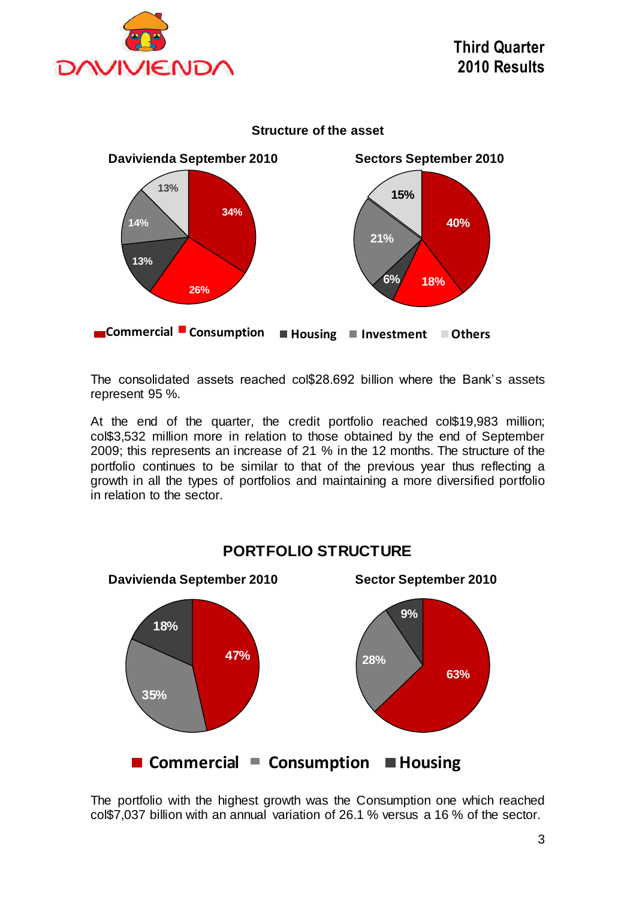



The consolidated assets reached col\$28.692 billion where the Bank's assets represent 95 %.

At the end of the quarter, the credit portfolio reached col\$19,983 million; col\$3,532 million more in relation to those obtained by the end of September 2009; this represents an increase of 21 % in the 12 months. The structure of the portfolio continues to be similar to that of the previous year thus reflecting a growth in all the types of portfolios and maintaining a more diversified portfolio in relation to the sector.



**PORTFOLIO STRUCTURE**

The portfolio with the highest growth was the Consumption one which reached col\$7,037 billion with an annual variation of 26.1 % versus a 16 % of the sector.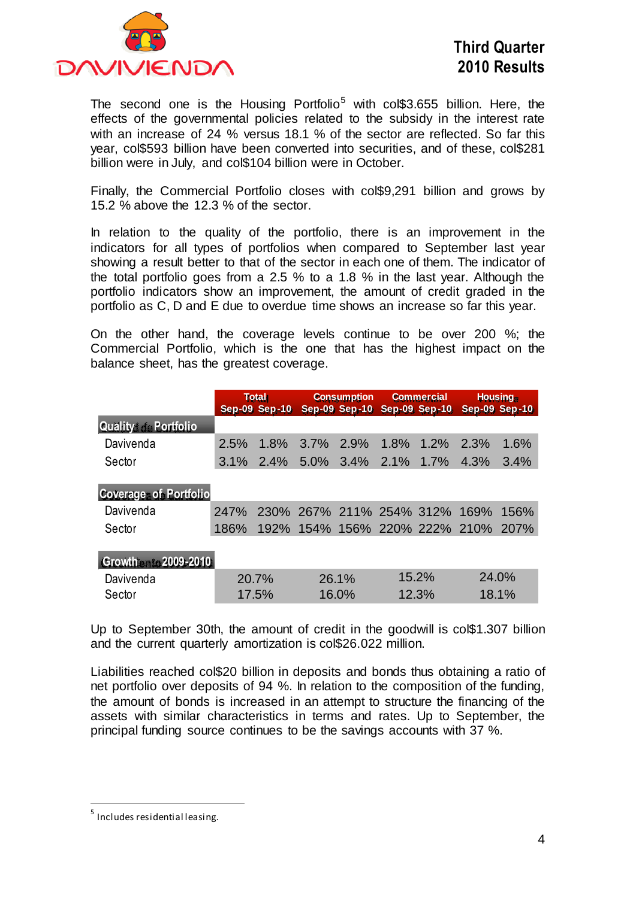

The second one is the Housing Portfolio<sup>5</sup> with col\$3.655 billion. Here, the effects of the governmental policies related to the subsidy in the interest rate with an increase of 24 % versus 18.1 % of the sector are reflected. So far this year, col\$593 billion have been converted into securities, and of these, col\$281 billion were in July, and col\$104 billion were in October.

Finally, the Commercial Portfolio closes with col\$9,291 billion and grows by 15.2 % above the 12.3 % of the sector.

In relation to the quality of the portfolio, there is an improvement in the indicators for all types of portfolios when compared to September last year showing a result better to that of the sector in each one of them. The indicator of the total portfolio goes from a 2.5 % to a 1.8 % in the last year. Although the portfolio indicators show an improvement, the amount of credit graded in the portfolio as C, D and E due to overdue time shows an increase so far this year.

On the other hand, the coverage levels continue to be over 200 %; the Commercial Portfolio, which is the one that has the highest impact on the balance sheet, has the greatest coverage.

|                                                      |                     | <b>Total</b><br><b>Sep-09 Sep-10</b> |                               | <b>Consumption</b><br><b>Sep-09 Sep-10</b> |       | <b>Commercial</b><br><b>Sep-09 Sep-10</b> |                               | Housing<br>Sep-09 Sep-10 |
|------------------------------------------------------|---------------------|--------------------------------------|-------------------------------|--------------------------------------------|-------|-------------------------------------------|-------------------------------|--------------------------|
| <b>Quality de Portfolio</b>                          |                     |                                      |                               |                                            |       |                                           |                               |                          |
| Davivenda                                            | 2.5%                | 1.8%                                 | $3.7\%$                       | 2.9%                                       | 1.8%  | $1.2\%$                                   | 2.3%                          | 1.6%                     |
| Sector                                               | $3.1\%$             | 2.4%                                 |                               | 5.0% 3.4% 2.1%                             |       | $1.7\%$                                   | 4.3%                          | 3.4%                     |
| <b>Coverage: of Portfolio</b><br>Davivenda<br>Sector | <b>247%</b><br>186% | 192%                                 | 230% 267% 211% 254% 312% 169% |                                            |       |                                           | 154% 156% 220% 222% 210% 207% | 156%                     |
| Growthento 2009-2010                                 |                     |                                      |                               |                                            |       |                                           |                               |                          |
| Davivenda                                            |                     | 20.7%                                |                               | 26.1%                                      |       | 15.2%                                     | 24.0%                         |                          |
| Sector                                               | 17.5%               |                                      | 16.0%                         |                                            | 12.3% |                                           | 18.1%                         |                          |

Up to September 30th, the amount of credit in the goodwill is col\$1.307 billion and the current quarterly amortization is col\$26.022 million.

Liabilities reached col\$20 billion in deposits and bonds thus obtaining a ratio of net portfolio over deposits of 94 %. In relation to the composition of the funding, the amount of bonds is increased in an attempt to structure the financing of the assets with similar characteristics in terms and rates. Up to September, the principal funding source continues to be the savings accounts with 37 %.

 $\overline{a}$ 

<sup>&</sup>lt;sup>5</sup> Includes residential leasing.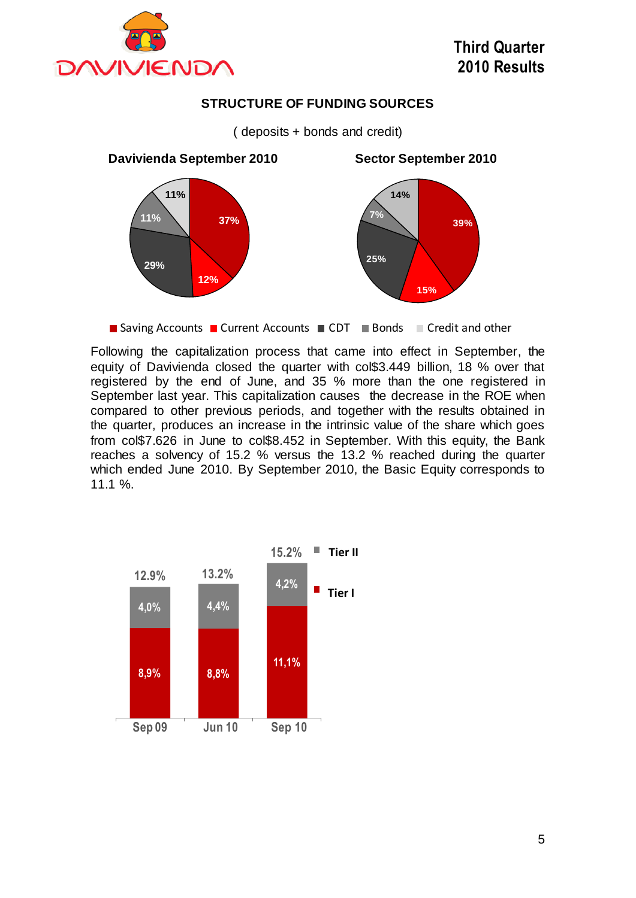

### **STRUCTURE OF FUNDING SOURCES**

( deposits + bonds and credit)



■ Saving Accounts ■ Current Accounts ■ CDT ■ Bonds ■ Credit and other

Following the capitalization process that came into effect in September, the equity of Davivienda closed the quarter with col\$3.449 billion, 18 % over that registered by the end of June, and 35 % more than the one registered in September last year. This capitalization causes the decrease in the ROE when compared to other previous periods, and together with the results obtained in the quarter, produces an increase in the intrinsic value of the share which goes from col\$7.626 in June to col\$8.452 in September. With this equity, the Bank reaches a solvency of 15.2 % versus the 13.2 % reached during the quarter which ended June 2010. By September 2010, the Basic Equity corresponds to 11.1 %.

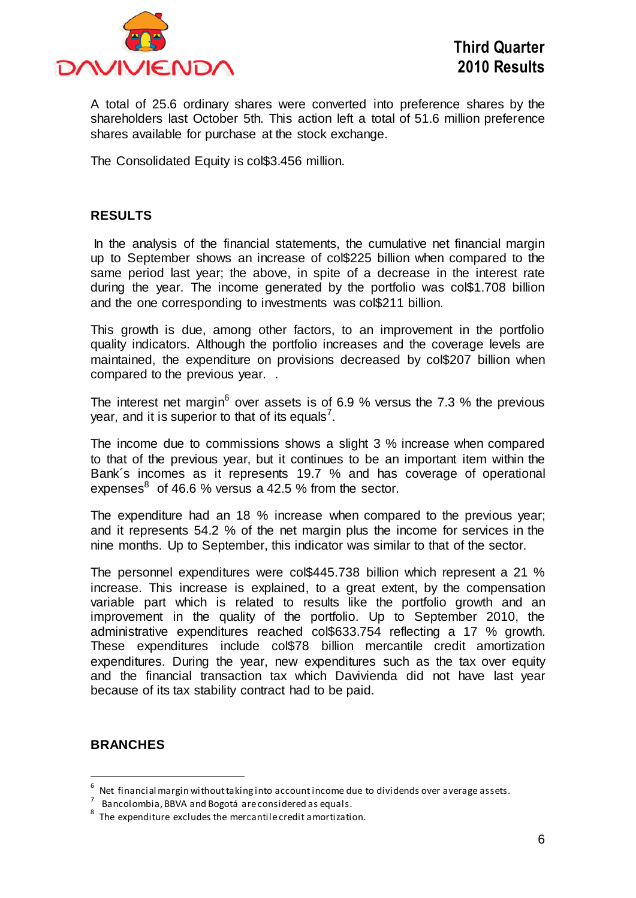

A total of 25.6 ordinary shares were converted into preference shares by the shareholders last October 5th. This action left a total of 51.6 million preference shares available for purchase at the stock exchange.

The Consolidated Equity is col\$3.456 million.

#### **RESULTS**

In the analysis of the financial statements, the cumulative net financial margin up to September shows an increase of col\$225 billion when compared to the same period last year; the above, in spite of a decrease in the interest rate during the year. The income generated by the portfolio was col\$1.708 billion and the one corresponding to investments was col\$211 billion.

This growth is due, among other factors, to an improvement in the portfolio quality indicators. Although the portfolio increases and the coverage levels are maintained, the expenditure on provisions decreased by col\$207 billion when compared to the previous year. .

The interest net margin<sup>6</sup> over assets is of 6.9 % versus the 7.3 % the previous year, and it is superior to that of its equals<sup>7</sup>.

The income due to commissions shows a slight 3 % increase when compared to that of the previous year, but it continues to be an important item within the Bank´s incomes as it represents 19.7 % and has coverage of operational expenses $^8$  of 46.6 % versus a 42.5 % from the sector.

The expenditure had an 18 % increase when compared to the previous year; and it represents 54.2 % of the net margin plus the income for services in the nine months. Up to September, this indicator was similar to that of the sector.

The personnel expenditures were col\$445.738 billion which represent a 21 % increase. This increase is explained, to a great extent, by the compensation variable part which is related to results like the portfolio growth and an improvement in the quality of the portfolio. Up to September 2010, the administrative expenditures reached col\$633.754 reflecting a 17 % growth. These expenditures include col\$78 billion mercantile credit amortization expenditures. During the year, new expenditures such as the tax over equity and the financial transaction tax which Davivienda did not have last year because of its tax stability contract had to be paid.

#### **BRANCHES**

 $\overline{a}$ 

<sup>6</sup> Net financial margin without taking into accountincome due to dividends over average assets.

<sup>7</sup> Bancolombia, BBVA and Bogotá are considered as equals.

 $8$  The expenditure excludes the mercantile credit amortization.